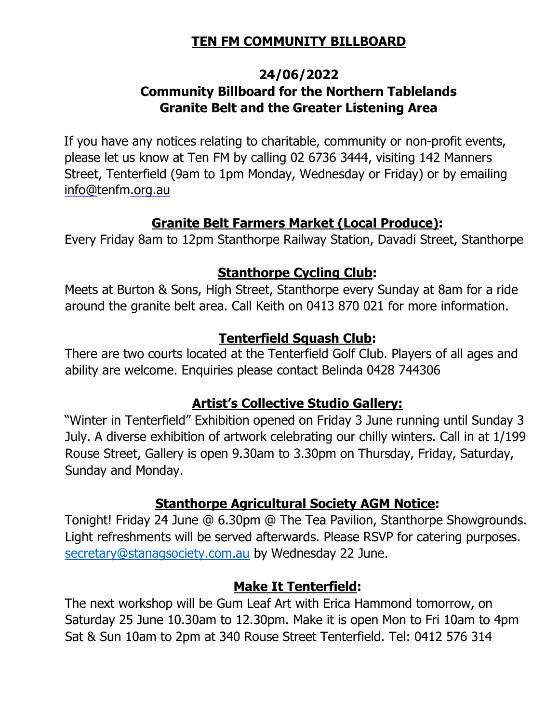# TEN FM COMMUNITY BILLBOARD

## 24/06/2022 Community Billboard for the Northern Tablelands Granite Belt and the Greater Listening Area

If you have any notices relating to charitable, community or non-profit events, please let us know at Ten FM by calling 02 6736 3444, visiting 142 Manners Street, Tenterfield (9am to 1pm Monday, Wednesday or Friday) or by emailing info@tenfm.org.au

## Granite Belt Farmers Market (Local Produce):

Every Friday 8am to 12pm Stanthorpe Railway Station, Davadi Street, Stanthorpe

## Stanthorpe Cycling Club:

Meets at Burton & Sons, High Street, Stanthorpe every Sunday at 8am for a ride around the granite belt area. Call Keith on 0413 870 021 for more information.

## Tenterfield Squash Club:

There are two courts located at the Tenterfield Golf Club. Players of all ages and ability are welcome. Enquiries please contact Belinda 0428 744306

# Artist's Collective Studio Gallery:

"Winter in Tenterfield" Exhibition opened on Friday 3 June running until Sunday 3 July. A diverse exhibition of artwork celebrating our chilly winters. Call in at 1/199 Rouse Street, Gallery is open 9.30am to 3.30pm on Thursday, Friday, Saturday, Sunday and Monday.

# Stanthorpe Agricultural Society AGM Notice:

Tonight! Friday 24 June @ 6.30pm @ The Tea Pavilion, Stanthorpe Showgrounds. Light refreshments will be served afterwards. Please RSVP for catering purposes. secretary@stanagsociety.com.au by Wednesday 22 June.

## Make It Tenterfield:

The next workshop will be Gum Leaf Art with Erica Hammond tomorrow, on Saturday 25 June 10.30am to 12.30pm. Make it is open Mon to Fri 10am to 4pm Sat & Sun 10am to 2pm at 340 Rouse Street Tenterfield. Tel: 0412 576 314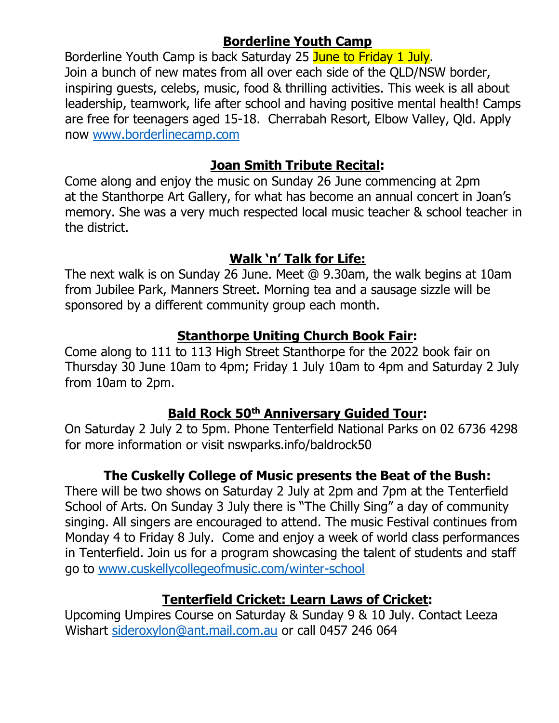# Borderline Youth Camp

Borderline Youth Camp is back Saturday 25 June to Friday 1 July. Join a bunch of new mates from all over each side of the QLD/NSW border, inspiring guests, celebs, music, food & thrilling activities. This week is all about leadership, teamwork, life after school and having positive mental health! Camps are free for teenagers aged 15-18. Cherrabah Resort, Elbow Valley, Qld. Apply now www.borderlinecamp.com

## Joan Smith Tribute Recital:

Come along and enjoy the music on Sunday 26 June commencing at 2pm at the Stanthorpe Art Gallery, for what has become an annual concert in Joan's memory. She was a very much respected local music teacher & school teacher in the district.

# Walk 'n' Talk for Life:

The next walk is on Sunday 26 June. Meet @ 9.30am, the walk begins at 10am from Jubilee Park, Manners Street. Morning tea and a sausage sizzle will be sponsored by a different community group each month.

# Stanthorpe Uniting Church Book Fair:

Come along to 111 to 113 High Street Stanthorpe for the 2022 book fair on Thursday 30 June 10am to 4pm; Friday 1 July 10am to 4pm and Saturday 2 July from 10am to 2pm.

## Bald Rock 50<sup>th</sup> Anniversary Guided Tour:

On Saturday 2 July 2 to 5pm. Phone Tenterfield National Parks on 02 6736 4298 for more information or visit nswparks.info/baldrock50

# The Cuskelly College of Music presents the Beat of the Bush:

There will be two shows on Saturday 2 July at 2pm and 7pm at the Tenterfield School of Arts. On Sunday 3 July there is "The Chilly Sing" a day of community singing. All singers are encouraged to attend. The music Festival continues from Monday 4 to Friday 8 July. Come and enjoy a week of world class performances in Tenterfield. Join us for a program showcasing the talent of students and staff go to www.cuskellycollegeofmusic.com/winter-school

# Tenterfield Cricket: Learn Laws of Cricket:

Upcoming Umpires Course on Saturday & Sunday 9 & 10 July. Contact Leeza Wishart sideroxylon@ant.mail.com.au or call 0457 246 064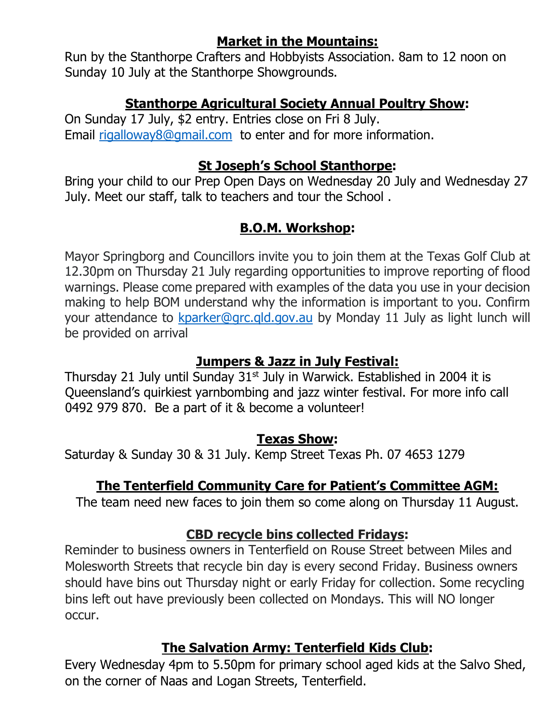# Market in the Mountains:

Run by the Stanthorpe Crafters and Hobbyists Association. 8am to 12 noon on Sunday 10 July at the Stanthorpe Showgrounds.

## Stanthorpe Agricultural Society Annual Poultry Show:

On Sunday 17 July, \$2 entry. Entries close on Fri 8 July. Email rigalloway8@gmail.com to enter and for more information.

# St Joseph's School Stanthorpe:

Bring your child to our Prep Open Days on Wednesday 20 July and Wednesday 27 July. Meet our staff, talk to teachers and tour the School .

# B.O.M. Workshop:

Mayor Springborg and Councillors invite you to join them at the Texas Golf Club at 12.30pm on Thursday 21 July regarding opportunities to improve reporting of flood warnings. Please come prepared with examples of the data you use in your decision making to help BOM understand why the information is important to you. Confirm your attendance to kparker@grc.gld.gov.au by Monday 11 July as light lunch will be provided on arrival

## Jumpers & Jazz in July Festival:

Thursday 21 July until Sunday  $31<sup>st</sup>$  July in Warwick. Established in 2004 it is Queensland's quirkiest yarnbombing and jazz winter festival. For more info call 0492 979 870. Be a part of it & become a volunteer!

## Texas Show:

Saturday & Sunday 30 & 31 July. Kemp Street Texas Ph. 07 4653 1279

# The Tenterfield Community Care for Patient's Committee AGM:

The team need new faces to join them so come along on Thursday 11 August.

## CBD recycle bins collected Fridays:

Reminder to business owners in Tenterfield on Rouse Street between Miles and Molesworth Streets that recycle bin day is every second Friday. Business owners should have bins out Thursday night or early Friday for collection. Some recycling bins left out have previously been collected on Mondays. This will NO longer occur.

## The Salvation Army: Tenterfield Kids Club:

Every Wednesday 4pm to 5.50pm for primary school aged kids at the Salvo Shed, on the corner of Naas and Logan Streets, Tenterfield.